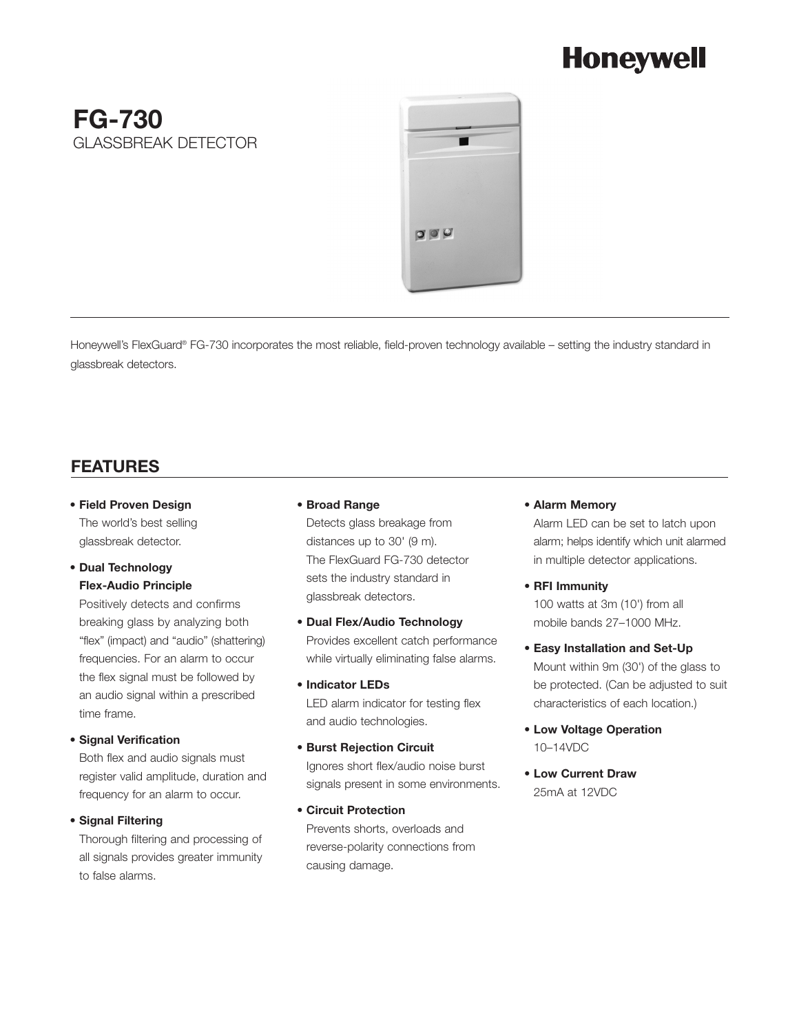# **Honeywell**

# **FG-730**  GLASSBREAK DETECTOR



Honeywell's FlexGuard® FG-730 incorporates the most reliable, field-proven technology available – setting the industry standard in glassbreak detectors.

# **FEATURES**

**• Field Proven Design** The world's best selling glassbreak detector.

#### **• Dual Technology Flex-Audio Principle**

Positively detects and confirms breaking glass by analyzing both "flex" (impact) and "audio" (shattering) frequencies. For an alarm to occur the flex signal must be followed by an audio signal within a prescribed time frame.

#### **• Signal Verification**

Both flex and audio signals must register valid amplitude, duration and frequency for an alarm to occur.

#### **• Signal Filtering**

Thorough filtering and processing of all signals provides greater immunity to false alarms.

#### **• Broad Range**

Detects glass breakage from distances up to 30' (9 m). The FlexGuard FG-730 detector sets the industry standard in glassbreak detectors.

- **Dual Flex/Audio Technology** Provides excellent catch performance while virtually eliminating false alarms.
- **Indicator LEDs** LED alarm indicator for testing flex and audio technologies.
- **Burst Rejection Circuit** Ignores short flex/audio noise burst signals present in some environments.
- **Circuit Protection** Prevents shorts, overloads and reverse-polarity connections from causing damage.

#### **• Alarm Memory**

Alarm LED can be set to latch upon alarm; helps identify which unit alarmed in multiple detector applications.

#### **• RFI Immunity**

100 watts at 3m (10') from all mobile bands 27–1000 MHz.

- **Easy Installation and Set-Up** Mount within 9m (30') of the glass to be protected. (Can be adjusted to suit characteristics of each location.)
- **Low Voltage Operation** 10–14VDC
- **Low Current Draw** 25mA at 12VDC